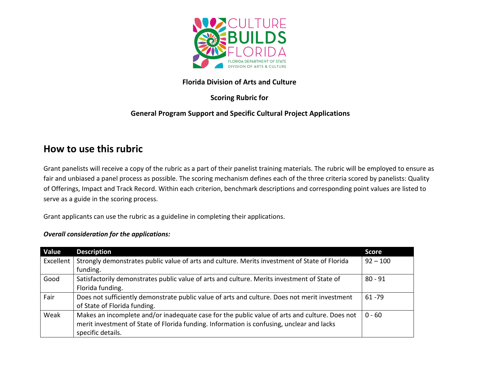

### **Florida Division of Arts and Culture**

# **Scoring Rubric for**

# **General Program Support and Specific Cultural Project Applications**

# **How to use this rubric**

Grant panelists will receive a copy of the rubric as a part of their panelist training materials. The rubric will be employed to ensure as fair and unbiased a panel process as possible. The scoring mechanism defines each of the three criteria scored by panelists: Quality of Offerings, Impact and Track Record. Within each criterion, benchmark descriptions and corresponding point values are listed to serve as a guide in the scoring process.

Grant applicants can use the rubric as a guideline in completing their applications.

#### *Overall consideration for the applications:*

| Value     | <b>Description</b>                                                                            | <b>Score</b> |
|-----------|-----------------------------------------------------------------------------------------------|--------------|
| Excellent | Strongly demonstrates public value of arts and culture. Merits investment of State of Florida | $92 - 100$   |
|           | funding.                                                                                      |              |
| Good      | Satisfactorily demonstrates public value of arts and culture. Merits investment of State of   | $80 - 91$    |
|           | Florida funding.                                                                              |              |
| Fair      | Does not sufficiently demonstrate public value of arts and culture. Does not merit investment | $61 - 79$    |
|           | of State of Florida funding.                                                                  |              |
| Weak      | Makes an incomplete and/or inadequate case for the public value of arts and culture. Does not | $0 - 60$     |
|           | merit investment of State of Florida funding. Information is confusing, unclear and lacks     |              |
|           | specific details.                                                                             |              |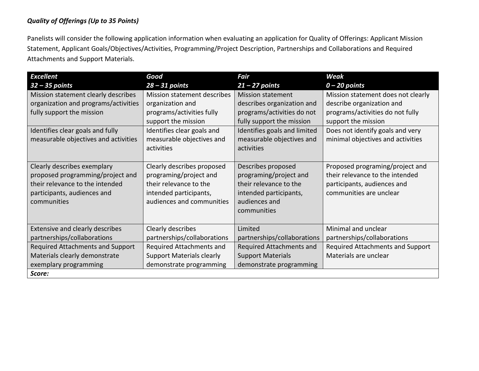#### *Quality of Offerings (Up to 35 Points)*

Panelists will consider the following application information when evaluating an application for Quality of Offerings: Applicant Mission Statement, Applicant Goals/Objectives/Activities, Programming/Project Description, Partnerships and Collaborations and Required Attachments and Support Materials.

| <b>Excellent</b>                     | Good                             | Fair                         | Weak                               |
|--------------------------------------|----------------------------------|------------------------------|------------------------------------|
| $32 - 35$ points                     | $28 - 31$ points                 | $21 - 27$ points             | $0 - 20$ points                    |
| Mission statement clearly describes  | Mission statement describes      | <b>Mission statement</b>     | Mission statement does not clearly |
| organization and programs/activities | organization and                 | describes organization and   | describe organization and          |
| fully support the mission            | programs/activities fully        | programs/activities do not   | programs/activities do not fully   |
|                                      | support the mission              | fully support the mission    | support the mission                |
| Identifies clear goals and fully     | Identifies clear goals and       | Identifies goals and limited | Does not identify goals and very   |
| measurable objectives and activities | measurable objectives and        | measurable objectives and    | minimal objectives and activities  |
|                                      | activities                       | activities                   |                                    |
|                                      |                                  |                              |                                    |
| Clearly describes exemplary          | Clearly describes proposed       | Describes proposed           | Proposed programing/project and    |
| proposed programming/project and     | programing/project and           | programing/project and       | their relevance to the intended    |
| their relevance to the intended      | their relevance to the           | their relevance to the       | participants, audiences and        |
| participants, audiences and          | intended participants,           | intended participants,       | communities are unclear            |
| communities                          | audiences and communities        | audiences and                |                                    |
|                                      |                                  | communities                  |                                    |
|                                      |                                  |                              |                                    |
| Extensive and clearly describes      | Clearly describes                | Limited                      | Minimal and unclear                |
| partnerships/collaborations          | partnerships/collaborations      | partnerships/collaborations  | partnerships/collaborations        |
| Required Attachments and Support     | Required Attachments and         | Required Attachments and     | Required Attachments and Support   |
| Materials clearly demonstrate        | <b>Support Materials clearly</b> | <b>Support Materials</b>     | Materials are unclear              |
| exemplary programming                | demonstrate programming          | demonstrate programming      |                                    |
| Score:                               |                                  |                              |                                    |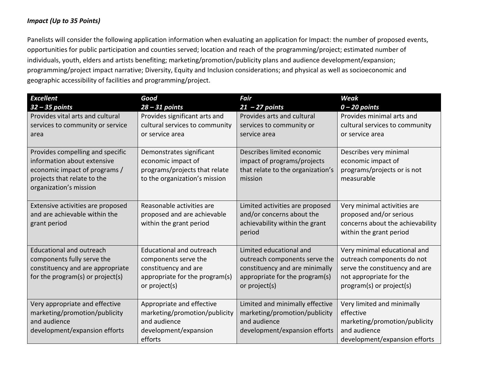#### *Impact (Up to 35 Points)*

Panelists will consider the following application information when evaluating an application for Impact: the number of proposed events, opportunities for public participation and counties served; location and reach of the programming/project; estimated number of individuals, youth, elders and artists benefiting; marketing/promotion/publicity plans and audience development/expansion; programming/project impact narrative; Diversity, Equity and Inclusion considerations; and physical as well as socioeconomic and geographic accessibility of facilities and programming/project.

| <b>Excellent</b>                                                                                                                                          | Good                                                                                                                               | <b>Fair</b>                                                                                                                                   | <b>Weak</b>                                                                                                                                         |
|-----------------------------------------------------------------------------------------------------------------------------------------------------------|------------------------------------------------------------------------------------------------------------------------------------|-----------------------------------------------------------------------------------------------------------------------------------------------|-----------------------------------------------------------------------------------------------------------------------------------------------------|
| $32 - 35$ points<br>Provides vital arts and cultural<br>services to community or service<br>area                                                          | $28 - 31$ points<br>Provides significant arts and<br>cultural services to community<br>or service area                             | $21 - 27$ points<br>Provides arts and cultural<br>services to community or<br>service area                                                    | $0 - 20$ points<br>Provides minimal arts and<br>cultural services to community<br>or service area                                                   |
| Provides compelling and specific<br>information about extensive<br>economic impact of programs /<br>projects that relate to the<br>organization's mission | Demonstrates significant<br>economic impact of<br>programs/projects that relate<br>to the organization's mission                   | Describes limited economic<br>impact of programs/projects<br>that relate to the organization's<br>mission                                     | Describes very minimal<br>economic impact of<br>programs/projects or is not<br>measurable                                                           |
| Extensive activities are proposed<br>and are achievable within the<br>grant period                                                                        | Reasonable activities are<br>proposed and are achievable<br>within the grant period                                                | Limited activities are proposed<br>and/or concerns about the<br>achievability within the grant<br>period                                      | Very minimal activities are<br>proposed and/or serious<br>concerns about the achievability<br>within the grant period                               |
| <b>Educational and outreach</b><br>components fully serve the<br>constituency and are appropriate<br>for the program(s) or project(s)                     | <b>Educational and outreach</b><br>components serve the<br>constituency and are<br>appropriate for the program(s)<br>or project(s) | Limited educational and<br>outreach components serve the<br>constituency and are minimally<br>appropriate for the program(s)<br>or project(s) | Very minimal educational and<br>outreach components do not<br>serve the constituency and are<br>not appropriate for the<br>program(s) or project(s) |
| Very appropriate and effective<br>marketing/promotion/publicity<br>and audience<br>development/expansion efforts                                          | Appropriate and effective<br>marketing/promotion/publicity<br>and audience<br>development/expansion<br>efforts                     | Limited and minimally effective<br>marketing/promotion/publicity<br>and audience<br>development/expansion efforts                             | Very limited and minimally<br>effective<br>marketing/promotion/publicity<br>and audience<br>development/expansion efforts                           |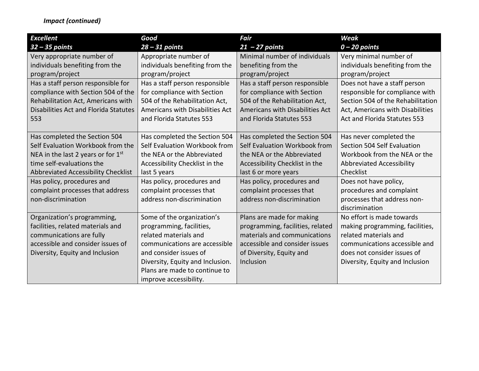## *Impact (continued)*

| <b>Excellent</b>                      | Good                             | <b>Fair</b>                      | <b>Weak</b>                       |
|---------------------------------------|----------------------------------|----------------------------------|-----------------------------------|
| $32 - 35$ points                      | $28 - 31$ points                 | $21 - 27$ points                 | $0 - 20$ points                   |
| Very appropriate number of            | Appropriate number of            | Minimal number of individuals    | Very minimal number of            |
| individuals benefiting from the       | individuals benefiting from the  | benefiting from the              | individuals benefiting from the   |
| program/project                       | program/project                  | program/project                  | program/project                   |
| Has a staff person responsible for    | Has a staff person responsible   | Has a staff person responsible   | Does not have a staff person      |
| compliance with Section 504 of the    | for compliance with Section      | for compliance with Section      | responsible for compliance with   |
| Rehabilitation Act, Americans with    | 504 of the Rehabilitation Act,   | 504 of the Rehabilitation Act,   | Section 504 of the Rehabilitation |
| Disabilities Act and Florida Statutes | Americans with Disabilities Act  | Americans with Disabilities Act  | Act, Americans with Disabilities  |
| 553                                   | and Florida Statutes 553         | and Florida Statutes 553         | Act and Florida Statutes 553      |
|                                       |                                  |                                  |                                   |
| Has completed the Section 504         | Has completed the Section 504    | Has completed the Section 504    | Has never completed the           |
| Self Evaluation Workbook from the     | Self Evaluation Workbook from    | Self Evaluation Workbook from    | Section 504 Self Evaluation       |
| NEA in the last 2 years or for $1st$  | the NEA or the Abbreviated       | the NEA or the Abbreviated       | Workbook from the NEA or the      |
| time self-evaluations the             | Accessibility Checklist in the   | Accessibility Checklist in the   | <b>Abbreviated Accessibility</b>  |
| Abbreviated Accessibility Checklist   | last 5 years                     | last 6 or more years             | Checklist                         |
| Has policy, procedures and            | Has policy, procedures and       | Has policy, procedures and       | Does not have policy,             |
| complaint processes that address      | complaint processes that         | complaint processes that         | procedures and complaint          |
| non-discrimination                    | address non-discrimination       | address non-discrimination       | processes that address non-       |
|                                       |                                  |                                  | discrimination                    |
| Organization's programming,           | Some of the organization's       | Plans are made for making        | No effort is made towards         |
| facilities, related materials and     | programming, facilities,         | programming, facilities, related | making programming, facilities,   |
| communications are fully              | related materials and            | materials and communications     | related materials and             |
| accessible and consider issues of     | communications are accessible    | accessible and consider issues   | communications accessible and     |
| Diversity, Equity and Inclusion       | and consider issues of           | of Diversity, Equity and         | does not consider issues of       |
|                                       | Diversity, Equity and Inclusion. | Inclusion                        | Diversity, Equity and Inclusion   |
|                                       | Plans are made to continue to    |                                  |                                   |
|                                       | improve accessibility.           |                                  |                                   |